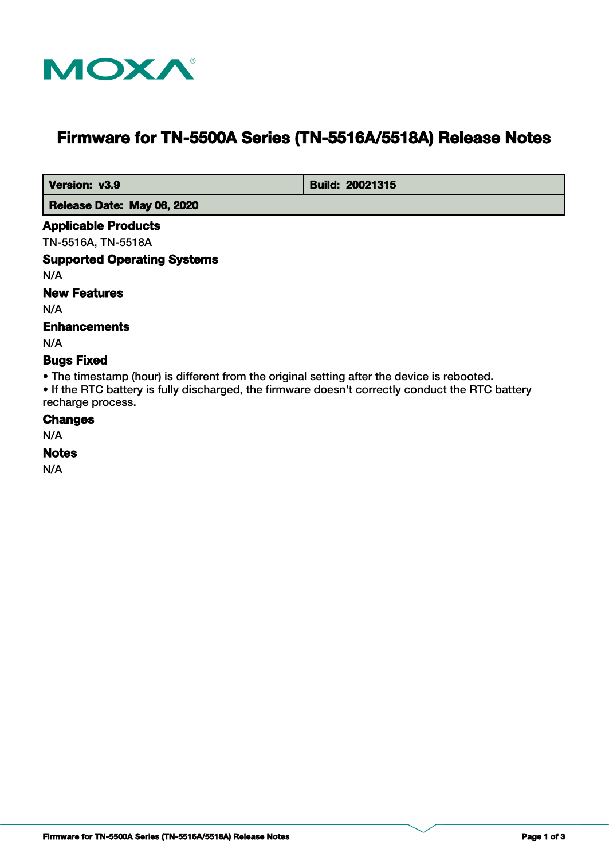

# **Firmware for TN-5500A Series (TN-5516A/5518A) Release Notes**

**Version: v3.9 Build: 20021315** 

 **Release Date: May 06, 2020**

#### **Applicable Products**

TN-5516A, TN-5518A

# **Supported Operating Systems**

N/A

## **New Features**

N/A

## **Enhancements**

N/A

#### **Bugs Fixed**

• The timestamp (hour) is different from the original setting after the device is rebooted.

• If the RTC battery is fully discharged, the firmware doesn't correctly conduct the RTC battery recharge process.

### **Changes**

N/A

# **Notes**

N/A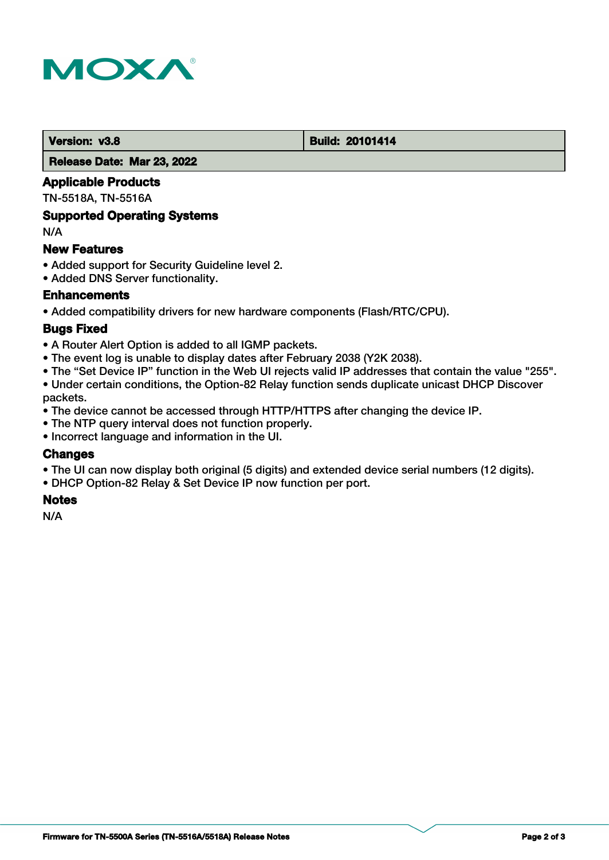

#### **Version: v3.8 Build: 20101414**

 **Release Date: Mar 23, 2022**

#### **Applicable Products**

TN-5518A, TN-5516A

#### **Supported Operating Systems**

N/A

#### **New Features**

- Added support for Security Guideline level 2.
- Added DNS Server functionality.

## **Enhancements**

• Added compatibility drivers for new hardware components (Flash/RTC/CPU).

## **Bugs Fixed**

- A Router Alert Option is added to all IGMP packets.
- The event log is unable to display dates after February 2038 (Y2K 2038).
- The "Set Device IP" function in the Web UI rejects valid IP addresses that contain the value "255".
- Under certain conditions, the Option-82 Relay function sends duplicate unicast DHCP Discover packets.
- The device cannot be accessed through HTTP/HTTPS after changing the device IP.
- The NTP query interval does not function properly.
- Incorrect language and information in the UI.

## **Changes**

- The UI can now display both original (5 digits) and extended device serial numbers (12 digits).
- DHCP Option-82 Relay & Set Device IP now function per port.

#### **Notes**

N/A